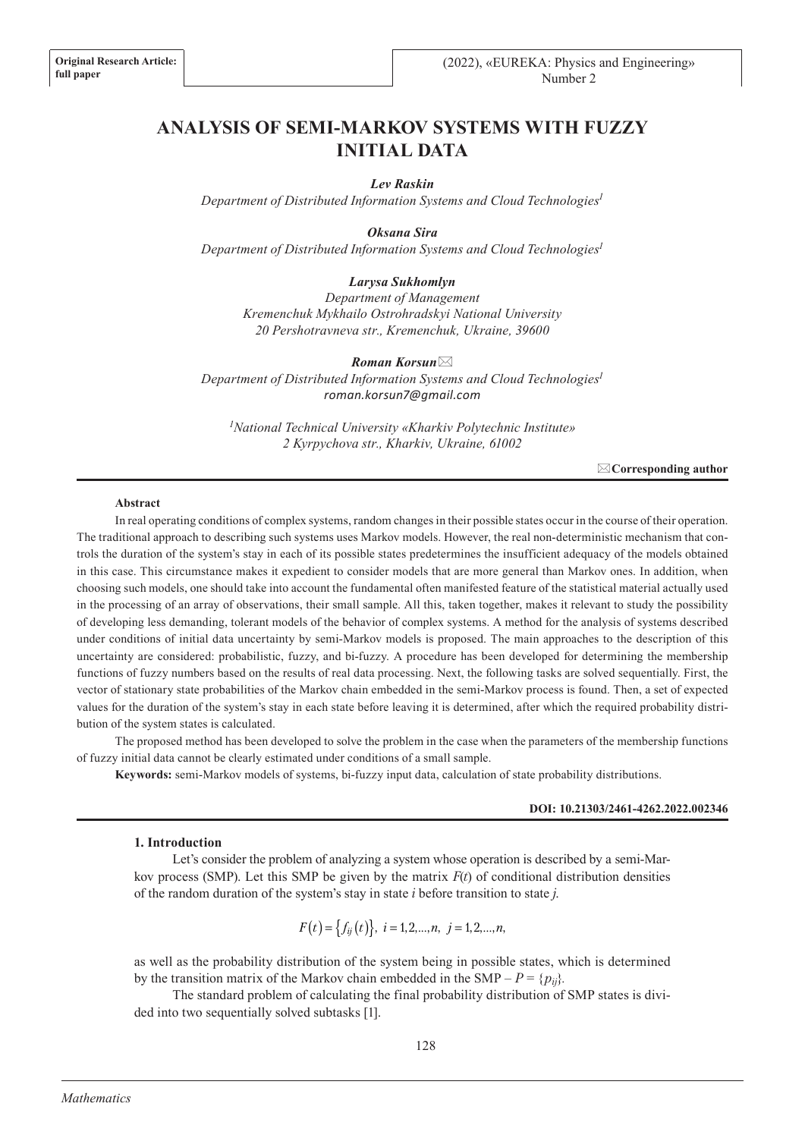# **ANALYSIS OF SEMI-MARKOV SYSTEMS WITH FUZZY INITIAL DATA**

## *Lev Raskin*

*Department of Distributed Information Systems and Cloud Technologies1*

*Oksana Sira Department of Distributed Information Systems and Cloud Technologies1*

# *Larysa Sukhomlyn*

*Department of Management Kremenchuk Mykhailo Ostrohradskyi National University 20 Pershotravneva str., Kremenchuk, Ukraine, 39600*

*Roman Korsun*\* *Department of Distributed Information Systems and Cloud Technologies1 roman.korsun7@gmail.com*

*1 National Technical University «Kharkiv Polytechnic Institute» 2 Kyrpychova str., Kharkiv, Ukraine, 61002*

\***Corresponding author**

#### **Abstract**

In real operating conditions of complex systems, random changes in their possible states occur in the course of their operation. The traditional approach to describing such systems uses Markov models. However, the real non-deterministic mechanism that controls the duration of the system's stay in each of its possible states predetermines the insufficient adequacy of the models obtained in this case. This circumstance makes it expedient to consider models that are more general than Markov ones. In addition, when choosing such models, one should take into account the fundamental often manifested feature of the statistical material actually used in the processing of an array of observations, their small sample. All this, taken together, makes it relevant to study the possibility of developing less demanding, tolerant models of the behavior of complex systems. A method for the analysis of systems described under conditions of initial data uncertainty by semi-Markov models is proposed. The main approaches to the description of this uncertainty are considered: probabilistic, fuzzy, and bi-fuzzy. A procedure has been developed for determining the membership functions of fuzzy numbers based on the results of real data processing. Next, the following tasks are solved sequentially. First, the vector of stationary state probabilities of the Markov chain embedded in the semi-Markov process is found. Then, a set of expected values for the duration of the system's stay in each state before leaving it is determined, after which the required probability distribution of the system states is calculated.

The proposed method has been developed to solve the problem in the case when the parameters of the membership functions of fuzzy initial data cannot be clearly estimated under conditions of a small sample.

**Keywords:** semi-Markov models of systems, bi-fuzzy input data, calculation of state probability distributions.

## **DOI: 10.21303/2461-4262.2022.002346**

### **1. Introduction**

Let's consider the problem of analyzing a system whose operation is described by a semi-Markov process (SMP). Let this SMP be given by the matrix  $F(t)$  of conditional distribution densities of the random duration of the system's stay in state *i* before transition to state *j*.

$$
F(t) = \{f_{ij}(t)\}, \ i = 1, 2, \dots, n, \ j = 1, 2, \dots, n,
$$

as well as the probability distribution of the system being in possible states, which is determined by the transition matrix of the Markov chain embedded in the SMP –  $P = \{p_{ij}\}.$ 

The standard problem of calculating the final probability distribution of SMP states is divided into two sequentially solved subtasks [1].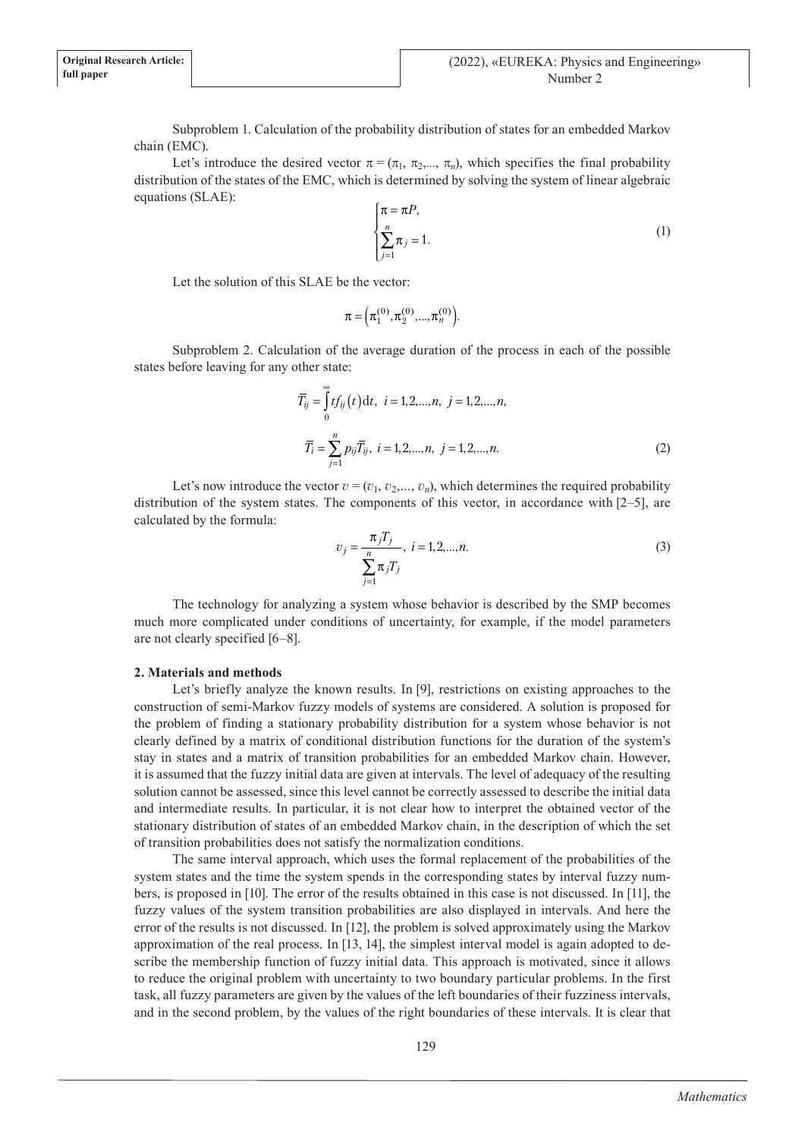Subproblem 1. Calculation of the probability distribution of states for an embedded Markov chain (EMC).

Let's introduce the desired vector  $\pi$  $=$   $(\pi_1, \pi_2, ..., \pi_n)$ , which specifies the final probability distribution of the states of the EMC, which is determined by solving the system of linear algebraic equations (SLAE):

$$
\begin{cases} \pi = \pi P, \\ \sum_{j=1}^{n} \pi_j = 1. \end{cases} (1)
$$

Let the solution of this SLAE be the vector:

$$
\boldsymbol{\pi} = (\pi_1^{(0)}, \pi_2^{(0)}, ..., \pi_n^{(0)})
$$

Subproblem 2. Calculation of the average duration of the process in each of the possible states before leaving for any other state:

$$
\overline{T}_{ij} = \int_{0}^{\infty} t f_{ij}(t) dt, \ i = 1, 2, ..., n, \ j = 1, 2, ..., n,
$$

$$
\overline{T}_{i} = \sum_{j=1}^{n} p_{ij} \overline{T}_{ij}, \ i = 1, 2, ..., n, \ j = 1, 2, ..., n.
$$
 (2)

Let's now introduce the vector  $v = (v_1, v_2, \ldots, v_n)$ , which determines the required probability distribution of the system states. The components of this vector, in accordance with [2–5], are calculated by the formula:

$$
v_j = \frac{\pi_j T_j}{\sum_{j=1}^n \pi_j T_j}, \ i = 1, 2, \dots, n. \tag{3}
$$

The technology for analyzing a system whose behavior is described by the SMP becomes much more complicated under conditions of uncertainty, for example, if the model parameters are not clearly specified [6–8].

# **2. Materials and methods**

Let's briefly analyze the known results. In [9], restrictions on existing approaches to the construction of semi-Markov fuzzy models of systems are considered. A solution is proposed for the problem of finding a stationary probability distribution for a system whose behavior is not clearly defined by a matrix of conditional distribution functions for the duration of the system's stay in states and a matrix of transition probabilities for an embedded Markov chain. However, it is assumed that the fuzzy initial data are given at intervals. The level of adequacy of the resulting solution cannot be assessed, since this level cannot be correctly assessed to describe the initial data and intermediate results. In particular, it is not clear how to interpret the obtained vector of the stationary distribution of states of an embedded Markov chain, in the description of which the set of transition probabilities does not satisfy the normalization conditions.

The same interval approach, which uses the formal replacement of the probabilities of the system states and the time the system spends in the corresponding states by interval fuzzy numbers, is proposed in [10]. The error of the results obtained in this case is not discussed. In [11], the fuzzy values of the system transition probabilities are also displayed in intervals. And here the error of the results is not discussed. In [12], the problem is solved approximately using the Markov approximation of the real process. In [13, 14], the simplest interval model is again adopted to describe the membership function of fuzzy initial data. This approach is motivated, since it allows to reduce the original problem with uncertainty to two boundary particular problems. In the first task, all fuzzy parameters are given by the values of the left boundaries of their fuzziness intervals, and in the second problem, by the values of the right boundaries of these intervals. It is clear that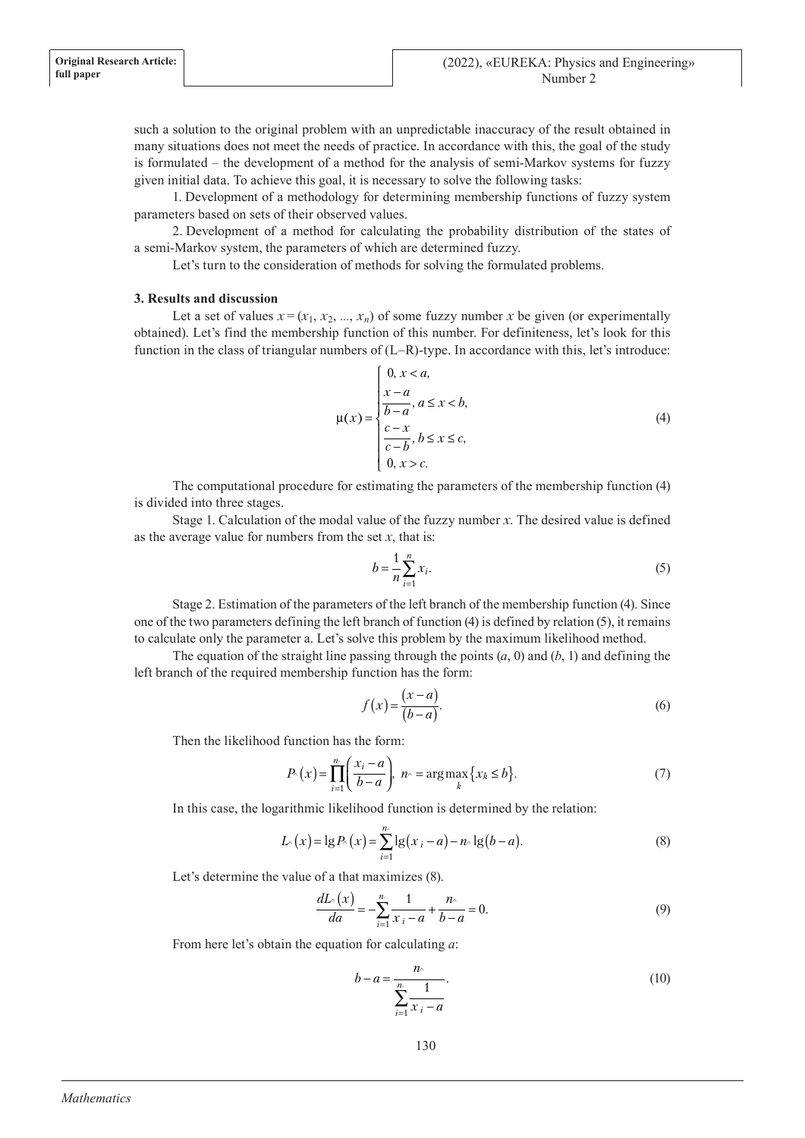such a solution to the original problem with an unpredictable inaccuracy of the result obtained in many situations does not meet the needs of practice. In accordance with this, the goal of the study is formulated – the development of a method for the analysis of semi-Markov systems for fuzzy given initial data. To achieve this goal, it is necessary to solve the following tasks:

1. Development of a methodology for determining membership functions of fuzzy system parameters based on sets of their observed values.

2. Development of a method for calculating the probability distribution of the states of a semi-Markov system, the parameters of which are determined fuzzy.

Let's turn to the consideration of methods for solving the formulated problems.

## **3. Results and discussion**

Let a set of values  $x = (x_1, x_2, ..., x_n)$  of some fuzzy number *x* be given (or experimentally obtained). Let's find the membership function of this number. For definiteness, let's look for this function in the class of triangular numbers of (L–R)-type. In accordance with this, let's introduce:

$$
\mu(x) = \begin{cases}\n0, x < a, \\
\frac{x-a}{b-a}, a \le x < b, \\
\frac{c-x}{c-b}, b \le x \le c, \\
0, x > c.\n\end{cases}
$$
\n(4)

The computational procedure for estimating the parameters of the membership function (4) is divided into three stages.

Stage 1. Calculation of the modal value of the fuzzy number *x*. The desired value is defined as the average value for numbers from the set  $x$ , that is:

$$
b = \frac{1}{n} \sum_{i=1}^{n} x_i.
$$
 (5)

Stage 2. Estimation of the parameters of the left branch of the membership function (4). Since one of the two parameters defining the left branch of function (4) is defined by relation (5), it remains to calculate only the parameter a. Let's solve this problem by the maximum likelihood method.

The equation of the straight line passing through the points  $(a, 0)$  and  $(b, 1)$  and defining the left branch of the required membership function has the form:

$$
f(x) = \frac{(x-a)}{(b-a)}.\tag{6}
$$

Then the likelihood function has the form:

$$
P(x) = \prod_{i=1}^{n} \left( \frac{x_i - a}{b - a} \right), \quad n \ge \arg \max_{k} \{ x_k \le b \}. \tag{7}
$$

In this case, the logarithmic likelihood function is determined by the relation:

$$
L(x) = \lg P(x) = \sum_{i=1}^{n} \lg(x_i - a) - n \lg(b - a).
$$
 (8)

Let's determine the value of a that maximizes (8).

$$
\frac{dL}{da} = -\sum_{i=1}^{n} \frac{1}{x_i - a} + \frac{n}{b - a} = 0.
$$
 (9)

From here let's obtain the equation for calculating *a*:

$$
b - a = \frac{n}{\sum_{i=1}^{n} \frac{1}{x_i - a}}.\tag{10}
$$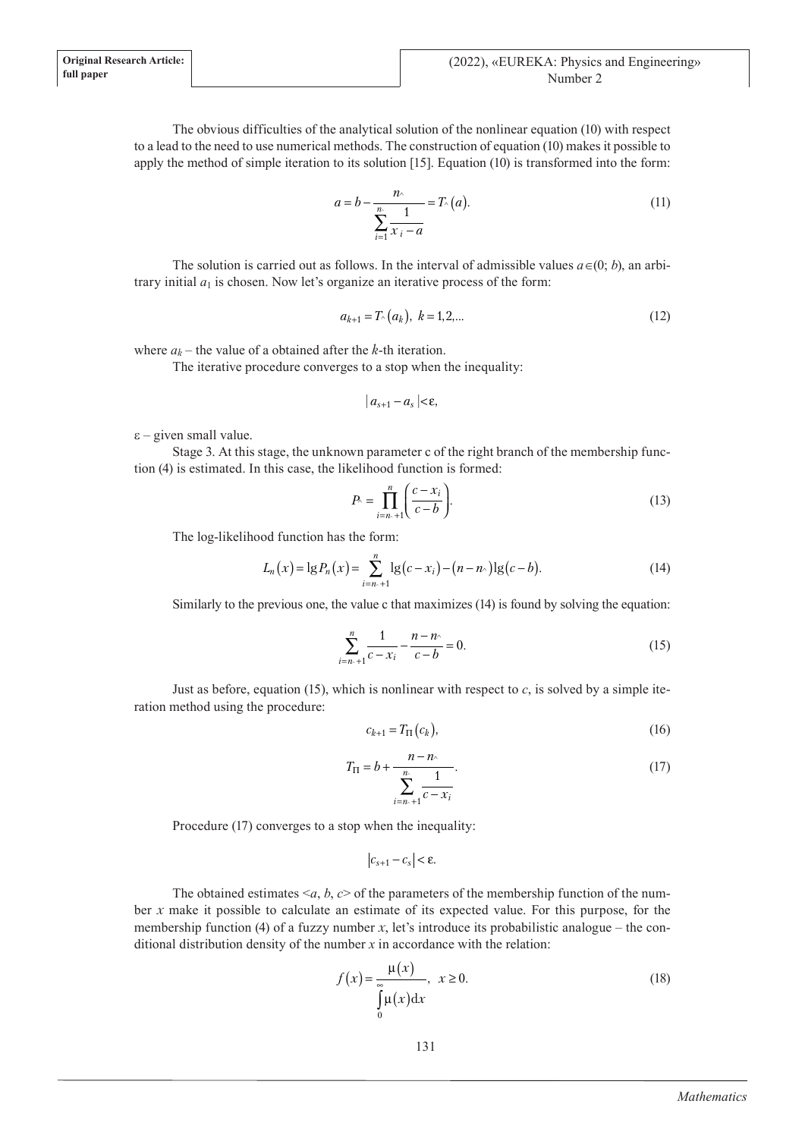**Original Research Article: full paper**

> The obvious difficulties of the analytical solution of the nonlinear equation (10) with respect to a lead to the need to use numerical methods. The construction of equation (10) makes it possible to apply the method of simple iteration to its solution [15]. Equation (10) is transformed into the form:

$$
a = b - \frac{n}{\sum_{i=1}^{n} \frac{1}{x_i - a}} = T_{\sim}(a). \tag{11}
$$

The solution is carried out as follows. In the interval of admissible values  $a \in (0, b)$ , an arbitrary initial  $a_1$  is chosen. Now let's organize an iterative process of the form:

$$
a_{k+1} = T_{\wedge}(a_k), \ k = 1, 2, \dots \tag{12}
$$

where  $a_k$  – the value of a obtained after the *k*-th iteration.

The iterative procedure converges to a stop when the inequality:

$$
|a_{s+1}-a_s|<\varepsilon,
$$

 $\epsilon$  – given small value.

Stage 3. At this stage, the unknown parameter c of the right branch of the membership function (4) is estimated. In this case, the likelihood function is formed:

$$
P_{\lambda} = \prod_{i=n_{\lambda}+1}^{n} \left( \frac{c - x_i}{c - b} \right).
$$
 (13)

The log-likelihood function has the form:

$$
L_n(x) = \lg P_n(x) = \sum_{i=n+1}^n \lg(c - x_i) - (n - n) \lg(c - b).
$$
 (14)

Similarly to the previous one, the value c that maximizes (14) is found by solving the equation:

$$
\sum_{i=n+1}^{n} \frac{1}{c - x_i} - \frac{n - n}{c - b} = 0.
$$
 (15)

Just as before, equation (15), which is nonlinear with respect to  $c$ , is solved by a simple iteration method using the procedure:

$$
c_{k+1} = T_{\Pi}(c_k),\tag{16}
$$

$$
T_{\Pi} = b + \frac{n - n}{\sum_{i=n+1}^{n} \frac{1}{c - x_i}}.
$$
\n(17)

Procedure (17) converges to a stop when the inequality:

$$
\left| c_{s+1} - c_s \right| < \varepsilon.
$$

The obtained estimates  $\leq a, b, c$  of the parameters of the membership function of the number *x* make it possible to calculate an estimate of its expected value. For this purpose, for the membership function (4) of a fuzzy number  $x$ , let's introduce its probabilistic analogue – the conditional distribution density of the number *x* in accordance with the relation:

$$
f(x) = \frac{\mu(x)}{\int_{0}^{\infty} \mu(x) dx}, \quad x \ge 0.
$$
 (18)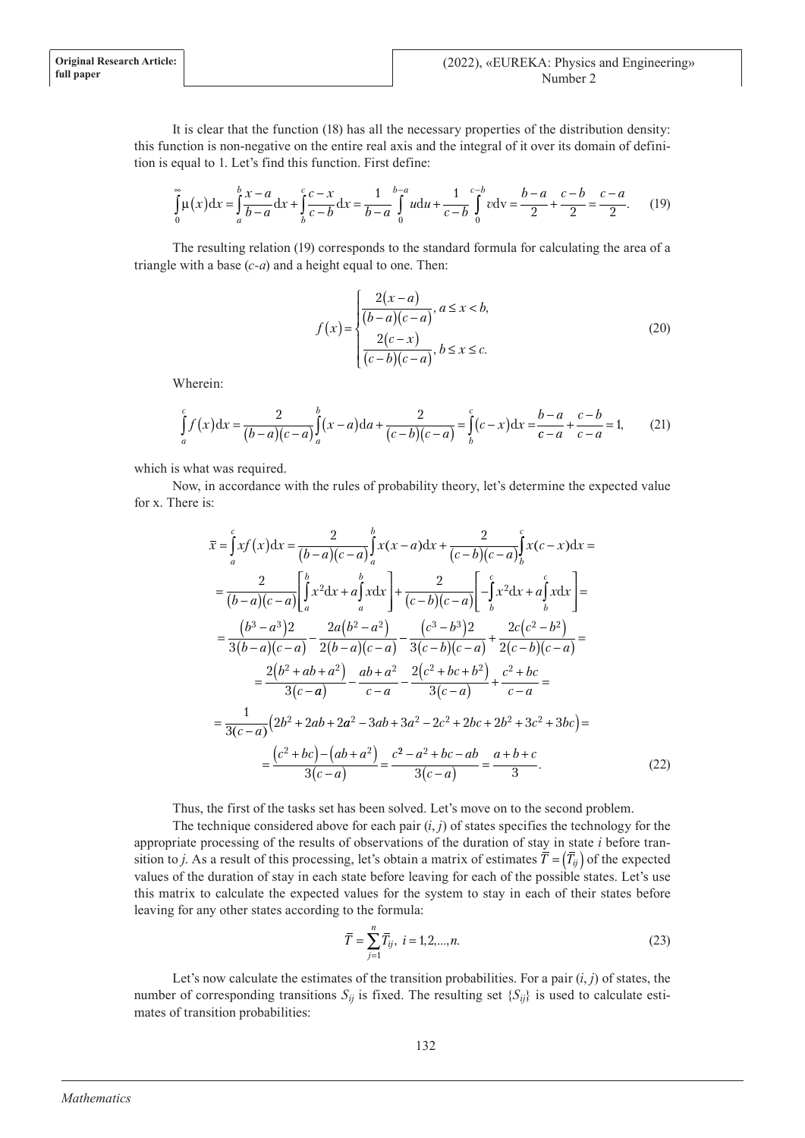It is clear that the function (18) has all the necessary properties of the distribution density: this function is non-negative on the entire real axis and the integral of it over its domain of definition is equal to 1. Let's find this function. First define:

$$
\int_{0}^{\infty} \mu(x) dx = \int_{a}^{b} \frac{x-a}{b-a} dx + \int_{b}^{c} \frac{c-x}{c-b} dx = \frac{1}{b-a} \int_{0}^{b-a} u du + \frac{1}{c-b} \int_{0}^{c-b} v dv = \frac{b-a}{2} + \frac{c-b}{2} = \frac{c-a}{2}.
$$
 (19)

The resulting relation (19) corresponds to the standard formula for calculating the area of a triangle with a base (*c-a*) and a height equal to one. Then:

$$
f(x) = \begin{cases} \frac{2(x-a)}{(b-a)(c-a)}, a \le x < b, \\ \frac{2(c-x)}{(c-b)(c-a)}, b \le x \le c. \end{cases}
$$
 (20)

Wherein:

$$
\int_{a}^{c} f(x) dx = \frac{2}{(b-a)(c-a)} \int_{a}^{b} (x-a) da + \frac{2}{(c-b)(c-a)} = \int_{b}^{c} (c-x) dx = \frac{b-a}{c-a} + \frac{c-b}{c-a} = 1,
$$
 (21)

which is what was required.

Now, in accordance with the rules of probability theory, let's determine the expected value for x. There is:

$$
\overline{x} = \int_{a}^{c} xf(x) dx = \frac{2}{(b-a)(c-a)} \int_{a}^{b} x(x-a) dx + \frac{2}{(c-b)(c-a)} \int_{b}^{c} x(c-x) dx =
$$
\n
$$
= \frac{2}{(b-a)(c-a)} \left[ \int_{a}^{b} x^{2} dx + a \int_{a}^{b} x dx \right] + \frac{2}{(c-b)(c-a)} \left[ -\int_{b}^{c} x^{2} dx + a \int_{b}^{c} x dx \right] =
$$
\n
$$
= \frac{(b^{3}-a^{3})2}{3(b-a)(c-a)} - \frac{2a(b^{2}-a^{2})}{2(b-a)(c-a)} - \frac{(c^{3}-b^{3})2}{3(c-b)(c-a)} + \frac{2c(c^{2}-b^{2})}{2(c-b)(c-a)} =
$$
\n
$$
= \frac{2(b^{2}+ab+a^{2})}{3(c-a)} - \frac{ab+a^{2}}{c-a} - \frac{2(c^{2}+bc+b^{2})}{3(c-a)} + \frac{c^{2}+bc}{c-a} =
$$
\n
$$
= \frac{1}{3(c-a)} (2b^{2}+2ab+2a^{2}-3ab+3a^{2}-2c^{2}+2bc+2b^{2}+3c^{2}+3bc) =
$$
\n
$$
= \frac{(c^{2}+bc)-(ab+a^{2})}{3(c-a)} = \frac{c^{2}-a^{2}+bc-ab}{3(c-a)} = \frac{a+b+c}{3}.
$$
\n(22)

Thus, the first of the tasks set has been solved. Let's move on to the second problem.

The technique considered above for each pair  $(i, j)$  of states specifies the technology for the appropriate processing of the results of observations of the duration of stay in state *i* before transition to *j*. As a result of this processing, let's obtain a matrix of estimates  $\overline{T} = (\overline{T}_{ij})$  of the expected values of the duration of stay in each state before leaving for each of the possible states. Let's use this matrix to calculate the expected values for the system to stay in each of their states before leaving for any other states according to the formula:

$$
\overline{T} = \sum_{j=1}^{n} \overline{T}_{ij}, \ i = 1, 2, ..., n. \tag{23}
$$

Let's now calculate the estimates of the transition probabilities. For a pair  $(i, j)$  of states, the number of corresponding transitions  $S_{ij}$  is fixed. The resulting set  $\{S_{ij}\}\$ is used to calculate estimates of transition probabilities: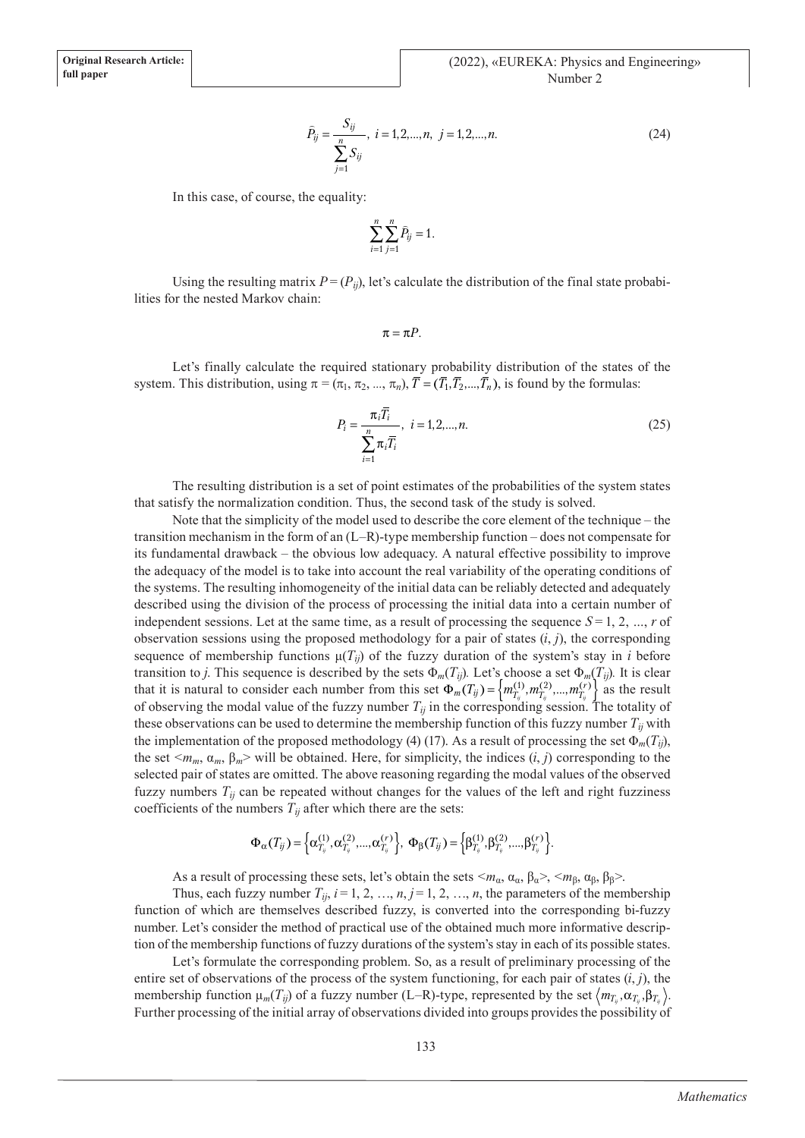$$
\hat{P}_{ij} = \frac{S_{ij}}{\sum_{j=1}^{n} S_{ij}}, \quad i = 1, 2, \dots, n, \quad j = 1, 2, \dots, n. \tag{24}
$$

In this case, of course, the equality:

$$
\sum_{i=1}^{n} \sum_{j=1}^{n} \widehat{P}_{ij} = 1.
$$

Using the resulting matrix  $P = (P_{ij})$ , let's calculate the distribution of the final state probabilities for the nested Markov chain:

 $\pi = \pi P$ .

Let's finally calculate the required stationary probability distribution of the states of the system. This distribution, using  $\pi = (\pi_1, \pi_2, ..., \pi_n)$ ,  $\overline{T} = (\overline{T_1}, \overline{T_2}, ..., \overline{T_n})$ , is found by the formulas:

$$
P_i = \frac{\pi_i \overline{T_i}}{\sum_{i=1}^n \pi_i \overline{T_i}}, \quad i = 1, 2, ..., n. \tag{25}
$$

The resulting distribution is a set of point estimates of the probabilities of the system states that satisfy the normalization condition. Thus, the second task of the study is solved.

Note that the simplicity of the model used to describe the core element of the technique – the transition mechanism in the form of an (L–R)-type membership function – does not compensate for its fundamental drawback – the obvious low adequacy. A natural effective possibility to improve the adequacy of the model is to take into account the real variability of the operating conditions of the systems. The resulting inhomogeneity of the initial data can be reliably detected and adequately described using the division of the process of processing the initial data into a certain number of independent sessions. Let at the same time, as a result of processing the sequence  $S = 1, 2, ..., r$  of observation sessions using the proposed methodology for a pair of states (*i*, *j*), the corresponding sequence of membership functions  $\mu(T_{ii})$  of the fuzzy duration of the system's stay in *i* before transition to *j*. This sequence is described by the sets  $\Phi_m(T_{ii})$ . Let's choose a set  $\Phi_m(T_{ii})$ . It is clear that it is natural to consider each number from this set  $\Phi_m(T_{ij}) = \left\{ m_{T_{ij}}^{(1)}, m_{T_{ij}}^{(2)}, ..., m_{T_{ij}}^{(r)} \right\}$  as the result of observing the modal value of the fuzzy number  $T_{ij}$  in the corresponding session. The totality of these observations can be used to determine the membership function of this fuzzy number  $T_{ij}$  with the implementation of the proposed methodology (4) (17). As a result of processing the set  $\Phi_m(T_{ij})$ , the set  $\langle m_m, \alpha_m, \beta_m \rangle$  will be obtained. Here, for simplicity, the indices  $(i, j)$  corresponding to the selected pair of states are omitted. The above reasoning regarding the modal values of the observed fuzzy numbers *Tij* can be repeated without changes for the values of the left and right fuzziness coefficients of the numbers  $T_{ij}$  after which there are the sets:

$$
\Phi_{\alpha}(T_{ij}) = \left\{ \alpha_{T_{ij}}^{(1)}, \alpha_{T_{ij}}^{(2)}, ..., \alpha_{T_{ij}}^{(r)} \right\}, \ \Phi_{\beta}(T_{ij}) = \left\{ \beta_{T_{ij}}^{(1)}, \beta_{T_{ij}}^{(2)}, ..., \beta_{T_{ij}}^{(r)} \right\}.
$$

As a result of processing these sets, let's obtain the sets  $\langle m_\alpha, \alpha_\alpha, \beta_\alpha \rangle$ ,  $\langle m_\beta, \alpha_\beta, \beta_\beta \rangle$ .

Thus, each fuzzy number  $T_{ij}$ ,  $i=1, 2, ..., n, j=1, 2, ..., n$ , the parameters of the membership function of which are themselves described fuzzy, is converted into the corresponding bi-fuzzy number. Let's consider the method of practical use of the obtained much more informative description of the membership functions of fuzzy durations of the system's stay in each of its possible states.

Let's formulate the corresponding problem. So, as a result of preliminary processing of the entire set of observations of the process of the system functioning, for each pair of states  $(i, j)$ , the membership function  $\mu_m(T_{ij})$  of a fuzzy number (L–R)-type, represented by the set  $\langle m_{T_i}, \alpha_{T_i}, \beta_{T_i} \rangle$ . Further processing of the initial array of observations divided into groups provides the possibility of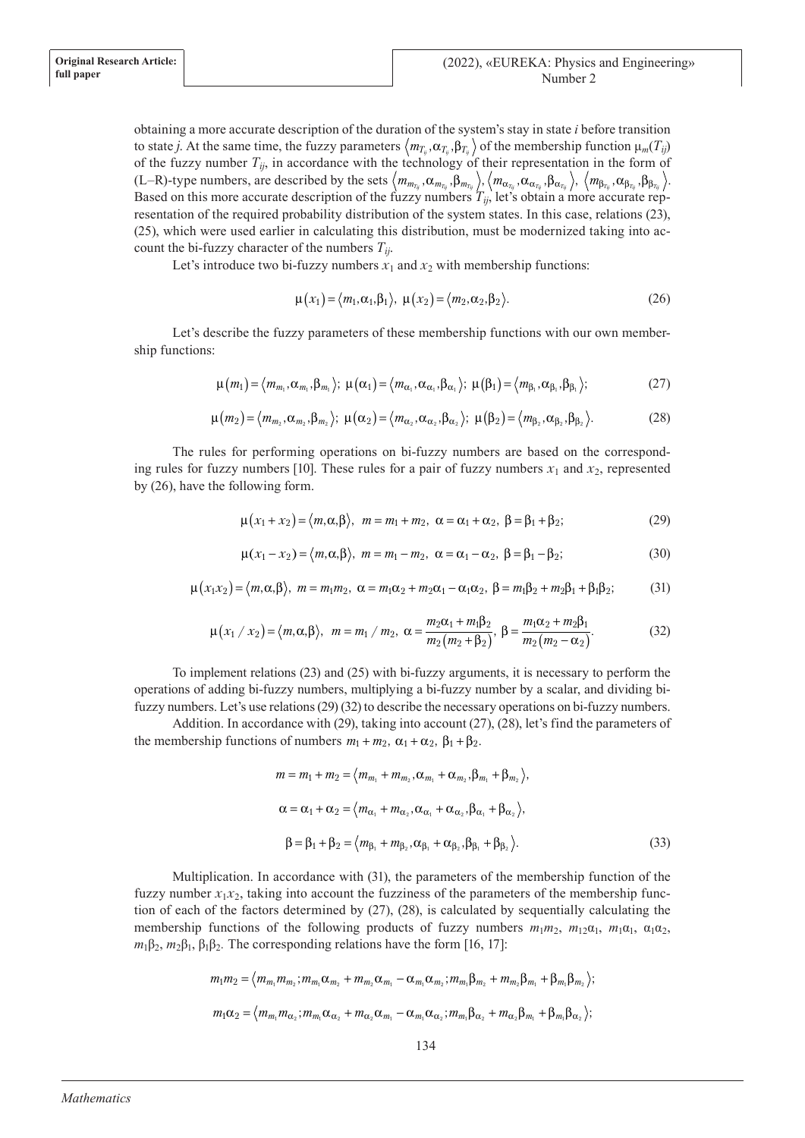obtaining a more accurate description of the duration of the system's stay in state *i* before transition to state *j*. At the same time, the fuzzy parameters  $\langle m_{T_i}, \alpha_{T_i}, \beta_{T_i} \rangle$  of the membership function  $\mu_m(T_{ij})$ of the fuzzy number  $T_{ij}$ , in accordance with the technology of their representation in the form of (L–R)-type numbers, are described by the sets  $\langle m_{m_{T_{ij}}}$ , α $_{m_{T_{ij}}}$ , β $_{m_{T_{ij}}}$ ,  $\langle m_{\alpha_{T_{ij}}}$ , β $_{\alpha_{\alpha_{T_{ij}}}$ , β $_{\alpha_{T_{ij}}}$ ,  $\langle m_{\beta_{T_{ij}}}$ , β $_{\beta_{T_{ij}}}$ , β $_{\beta_{T_{ij}}}$ , Based on this more accurate description of the fuzzy numbers  $T_{ij}$ , let's obtain a more accurate representation of the required probability distribution of the system states. In this case, relations (23), (25), which were used earlier in calculating this distribution, must be modernized taking into account the bi-fuzzy character of the numbers *Tij*.

Let's introduce two bi-fuzzy numbers  $x_1$  and  $x_2$  with membership functions:

$$
\mu(x_1) = \langle m_1, \alpha_1, \beta_1 \rangle, \ \mu(x_2) = \langle m_2, \alpha_2, \beta_2 \rangle. \tag{26}
$$

Let's describe the fuzzy parameters of these membership functions with our own membership functions:

$$
\mu(m_1) = \langle m_{m_1}, \alpha_{m_1}, \beta_{m_1} \rangle; \ \mu(\alpha_1) = \langle m_{\alpha_1}, \alpha_{\alpha_1}, \beta_{\alpha_1} \rangle; \ \mu(\beta_1) = \langle m_{\beta_1}, \alpha_{\beta_1}, \beta_{\beta_1} \rangle; \tag{27}
$$

$$
\mu(m_2) = \langle m_{m_2}, \alpha_{m_2}, \beta_{m_2} \rangle; \ \mu(\alpha_2) = \langle m_{\alpha_2}, \alpha_{\alpha_2}, \beta_{\alpha_2} \rangle; \ \mu(\beta_2) = \langle m_{\beta_2}, \alpha_{\beta_2}, \beta_{\beta_2} \rangle.
$$
 (28)

The rules for performing operations on bi-fuzzy numbers are based on the corresponding rules for fuzzy numbers [10]. These rules for a pair of fuzzy numbers  $x_1$  and  $x_2$ , represented by (26), have the following form.

$$
\mu(x_1 + x_2) = \langle m, \alpha, \beta \rangle, \quad m = m_1 + m_2, \quad \alpha = \alpha_1 + \alpha_2, \quad \beta = \beta_1 + \beta_2; \tag{29}
$$

$$
\mu(x_1 - x_2) = \langle m, \alpha, \beta \rangle, \ m = m_1 - m_2, \ \alpha = \alpha_1 - \alpha_2, \ \beta = \beta_1 - \beta_2; \tag{30}
$$

$$
\mu(x_1x_2) = \langle m, \alpha, \beta \rangle, \quad m = m_1m_2, \quad \alpha = m_1\alpha_2 + m_2\alpha_1 - \alpha_1\alpha_2, \quad \beta = m_1\beta_2 + m_2\beta_1 + \beta_1\beta_2; \tag{31}
$$

$$
\mu(x_1 / x_2) = \langle m, \alpha, \beta \rangle, \ \ m = m_1 / m_2, \ \alpha = \frac{m_2 \alpha_1 + m_1 \beta_2}{m_2 (m_2 + \beta_2)}, \ \beta = \frac{m_1 \alpha_2 + m_2 \beta_1}{m_2 (m_2 - \alpha_2)}.
$$
 (32)

To implement relations (23) and (25) with bi-fuzzy arguments, it is necessary to perform the operations of adding bi-fuzzy numbers, multiplying a bi-fuzzy number by a scalar, and dividing bifuzzy numbers. Let's use relations (29) (32) to describe the necessary operations on bi-fuzzy numbers.

Addition. In accordance with (29), taking into account (27), (28), let's find the parameters of the membership functions of numbers  $m_1 + m_2$ ,  $\alpha_1 + \alpha_2$ ,  $\beta_1 + \beta_2$ .

$$
m = m_1 + m_2 = \langle m_{m_1} + m_{m_2}, \alpha_{m_1} + \alpha_{m_2}, \beta_{m_1} + \beta_{m_2} \rangle,
$$
  
\n
$$
\alpha = \alpha_1 + \alpha_2 = \langle m_{\alpha_1} + m_{\alpha_2}, \alpha_{\alpha_1} + \alpha_{\alpha_2}, \beta_{\alpha_1} + \beta_{\alpha_2} \rangle,
$$
  
\n
$$
\beta = \beta_1 + \beta_2 = \langle m_{\beta_1} + m_{\beta_2}, \alpha_{\beta_1} + \alpha_{\beta_2}, \beta_{\beta_1} + \beta_{\beta_2} \rangle.
$$
\n(33)

Multiplication. In accordance with (31), the parameters of the membership function of the fuzzy number  $x_1x_2$ , taking into account the fuzziness of the parameters of the membership function of each of the factors determined by (27), (28), is calculated by sequentially calculating the membership functions of the following products of fuzzy numbers  $m_1m_2$ ,  $m_1a_1$ ,  $m_1a_1$ ,  $a_1a_2$ ,  $m_1\beta_2$ ,  $m_2\beta_1$ ,  $\beta_1\beta_2$ . The corresponding relations have the form [16, 17]:

$$
m_1m_2 = \langle m_{m_1}m_{m_2}; m_{m_1}\alpha_{m_2} + m_{m_2}\alpha_{m_1} - \alpha_{m_1}\alpha_{m_2}; m_{m_1}\beta_{m_2} + m_{m_2}\beta_{m_1} + \beta_{m_1}\beta_{m_2}\rangle;
$$
  

$$
m_1\alpha_2 = \langle m_{m_1}m_{\alpha_2}; m_{m_1}\alpha_{\alpha_2} + m_{\alpha_2}\alpha_{m_1} - \alpha_{m_1}\alpha_{\alpha_2}; m_{m_1}\beta_{\alpha_2} + m_{\alpha_2}\beta_{m_1} + \beta_{m_1}\beta_{\alpha_2}\rangle;
$$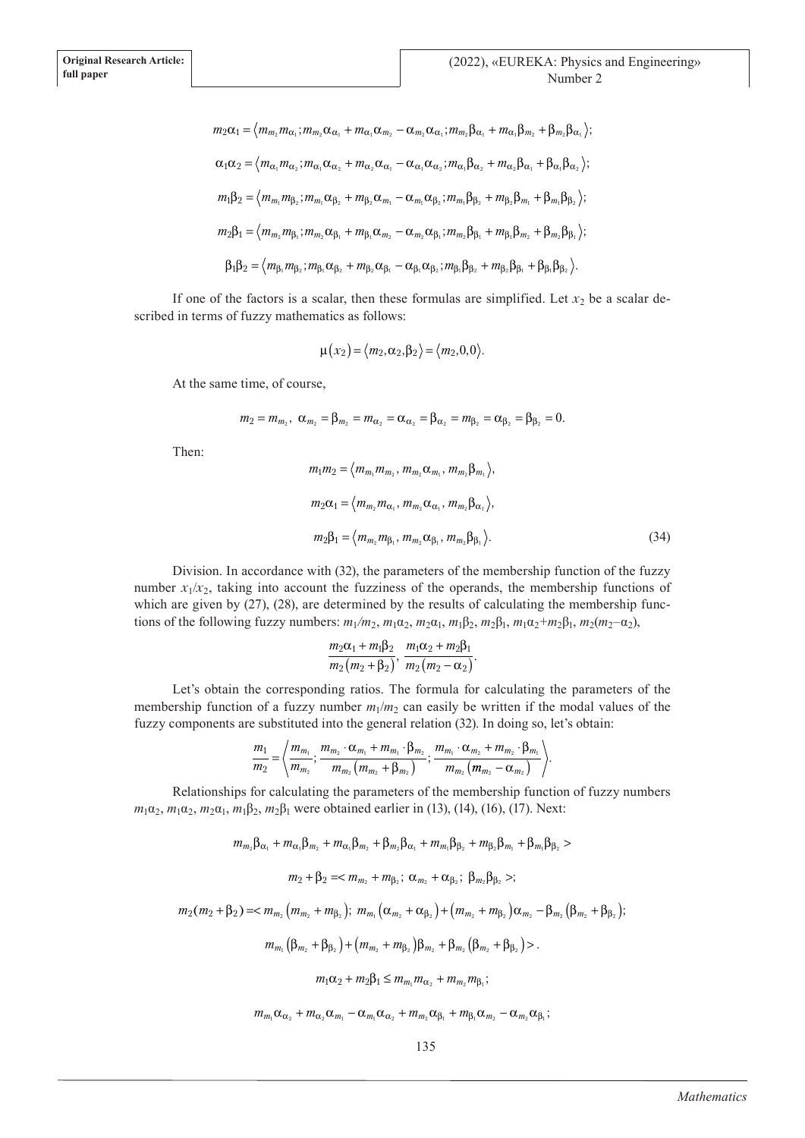$$
m_{2}\alpha_{1} = \langle m_{m_{2}}m_{\alpha_{1}}; m_{m_{2}}\alpha_{\alpha_{1}} + m_{\alpha_{1}}\alpha_{m_{2}} - \alpha_{m_{2}}\alpha_{\alpha_{1}}; m_{m_{2}}\beta_{\alpha_{1}} + m_{\alpha_{1}}\beta_{m_{2}} + \beta_{m_{2}}\beta_{\alpha_{1}} \rangle;
$$
  
\n
$$
\alpha_{1}\alpha_{2} = \langle m_{\alpha_{1}}m_{\alpha_{2}}; m_{\alpha_{1}}\alpha_{\alpha_{2}} + m_{\alpha_{2}}\alpha_{\alpha_{1}} - \alpha_{\alpha_{1}}\alpha_{\alpha_{2}}; m_{\alpha_{1}}\beta_{\alpha_{2}} + m_{\alpha_{2}}\beta_{\alpha_{1}} + \beta_{\alpha_{1}}\beta_{\alpha_{2}} \rangle;
$$
  
\n
$$
m_{1}\beta_{2} = \langle m_{m_{1}}m_{\beta_{2}}; m_{m_{1}}\alpha_{\beta_{2}} + m_{\beta_{2}}\alpha_{m_{1}} - \alpha_{m_{1}}\alpha_{\beta_{2}}; m_{m_{1}}\beta_{\beta_{2}} + m_{\beta_{2}}\beta_{m_{1}} + \beta_{m_{1}}\beta_{\beta_{2}} \rangle;
$$
  
\n
$$
m_{2}\beta_{1} = \langle m_{m_{2}}m_{\beta_{1}}; m_{m_{2}}\alpha_{\beta_{1}} + m_{\beta_{1}}\alpha_{m_{2}} - \alpha_{m_{2}}\alpha_{\beta_{1}}; m_{m_{2}}\beta_{\beta_{1}} + m_{\beta_{1}}\beta_{m_{2}} + \beta_{m_{2}}\beta_{\beta_{1}} \rangle;
$$
  
\n
$$
\beta_{1}\beta_{2} = \langle m_{\beta_{1}}m_{\beta_{2}}; m_{\beta_{1}}\alpha_{\beta_{2}} + m_{\beta_{2}}\alpha_{\beta_{1}} - \alpha_{\beta_{1}}\alpha_{\beta_{2}}; m_{\beta_{1}}\beta_{\beta_{2}} + m_{\beta_{2}}\beta_{\beta_{1}} + \beta_{\beta_{1}}\beta_{\beta_{2}} \rangle.
$$

If one of the factors is a scalar, then these formulas are simplified. Let  $x<sub>2</sub>$  be a scalar described in terms of fuzzy mathematics as follows:

$$
\mu(x_2) = \langle m_2, \alpha_2, \beta_2 \rangle = \langle m_2, 0, 0 \rangle.
$$

At the same time, of course,

$$
m_2 = m_{m_2}, \ \alpha_{m_2} = \beta_{m_2} = m_{\alpha_2} = \alpha_{\alpha_2} = \beta_{\alpha_2} = m_{\beta_2} = \alpha_{\beta_2} = \beta_{\beta_2} = 0.
$$

Then:

$$
m_1 m_2 = \langle m_{m_1} m_{m_2}, m_{m_2} \alpha_{m_1}, m_{m_2} \beta_{m_1} \rangle,
$$
  
\n
$$
m_2 \alpha_1 = \langle m_{m_2} m_{\alpha_1}, m_{m_2} \alpha_{\alpha_1}, m_{m_2} \beta_{\alpha_1} \rangle,
$$
  
\n
$$
m_2 \beta_1 = \langle m_{m_2} m_{\beta_1}, m_{m_2} \alpha_{\beta_1}, m_{m_2} \beta_{\beta_1} \rangle.
$$
\n(34)

Division. In accordance with (32), the parameters of the membership function of the fuzzy number  $x_1/x_2$ , taking into account the fuzziness of the operands, the membership functions of which are given by (27), (28), are determined by the results of calculating the membership functions of the following fuzzy numbers:  $m_1/m_2$ ,  $m_1\alpha_2$ ,  $m_2\alpha_1$ ,  $m_1\beta_2$ ,  $m_2\beta_1$ ,  $m_1\alpha_2+m_2\beta_1$ ,  $m_2(m_2-\alpha_2)$ ,

$$
\frac{m_2\alpha_1+m_1\beta_2}{m_2(m_2+\beta_2)},\,\frac{m_1\alpha_2+m_2\beta_1}{m_2(m_2-\alpha_2)}.
$$

Let's obtain the corresponding ratios. The formula for calculating the parameters of the membership function of a fuzzy number  $m_1/m_2$  can easily be written if the modal values of the fuzzy components are substituted into the general relation (32). In doing so, let's obtain:

$$
\frac{m_1}{m_2} = \left\langle \frac{m_{m_1}}{m_{m_2}}; \frac{m_{m_2} \cdot \alpha_{m_1} + m_{m_1} \cdot \beta_{m_2}}{m_{m_2} (m_{m_2} + \beta_{m_2})}; \frac{m_{m_1} \cdot \alpha_{m_2} + m_{m_2} \cdot \beta_{m_1}}{m_{m_2} (m_{m_2} - \alpha_{m_2})} \right\rangle.
$$

Relationships for calculating the parameters of the membership function of fuzzy numbers *m*<sub>1</sub>α<sub>2</sub>, *m*<sub>1</sub>α<sub>2</sub>, *m*<sub>2</sub>α<sub>1</sub>, *m*<sub>1</sub>β<sub>2</sub>, *m*<sub>2</sub>β<sub>1</sub> were obtained earlier in (13), (14), (16), (17). Next:

 $m_{m_n}\beta_{\alpha} + m_{\alpha} \beta_{m_2} + m_{\alpha} \beta_{m_3} + \beta_{m} \beta_{\alpha} + m_{m} \beta_{\beta} + m_{\beta} \beta_{m} + \beta_{m} \beta_{\beta} >$ 

$$
m_2 + \beta_2 =
$$

 $m_2(m_2 + \beta_2) =$ 

$$
m_{m_1} (\beta_{m_2} + \beta_{\beta_2}) + (m_{m_2} + m_{\beta_2}) \beta_{m_2} + \beta_{m_2} (\beta_{m_2} + \beta_{\beta_2}) >
$$
  

$$
m_1 \alpha_2 + m_2 \beta_1 \le m_{m_1} m_{\alpha_2} + m_{m_2} m_{\beta_1};
$$

$$
m_{m_1}\alpha_{\alpha_2} + m_{\alpha_2}\alpha_{m_1} - \alpha_{m_1}\alpha_{\alpha_2} + m_{m_2}\alpha_{\beta_1} + m_{\beta_1}\alpha_{m_2} - \alpha_{m_2}\alpha_{\beta_1};
$$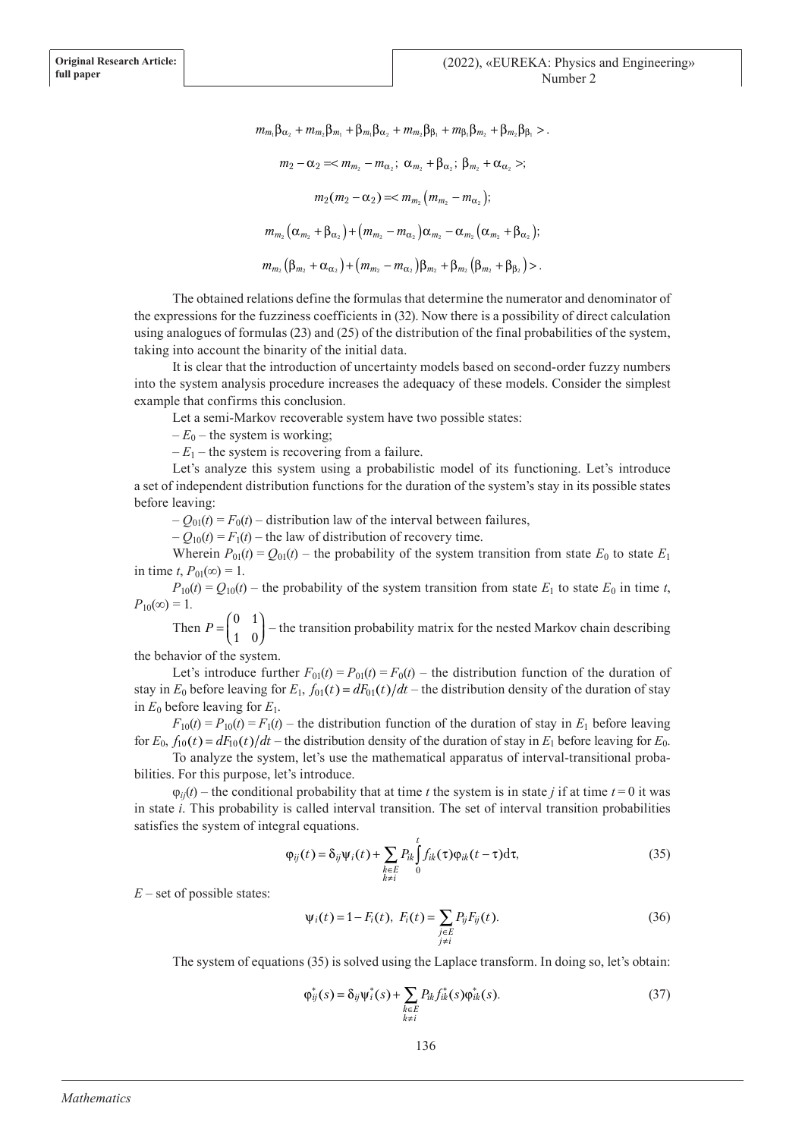$m_m \beta_{\alpha} + m_m \beta_m + \beta_m \beta_{\alpha} + m_m \beta_{\beta} + m_{\beta} \beta_m + \beta_m \beta_{\beta}$  $m_2 - \alpha_2 =  $m_{m_2} - m_{\alpha_2}$ ;  $\alpha_{m_2} + \beta_{\alpha_2}$ ;  $\beta_{m_2} + \alpha_{\alpha_2}$  >;$  $m_2(m_2 - \alpha_2) = < m_{m_2}(m_{m_2} - m_{\alpha_2});$  $m_{m_2}(\alpha_{m_2}+\beta_{\alpha_2})+(m_{m_2}-m_{\alpha_2})\alpha_{m_2}-\alpha_{m_2}(\alpha_{m_2}+\beta_{\alpha_2});$  $m_{m_2} (\beta_{m_2} + \alpha_{\alpha_2}) + (m_{m_2} - m_{\alpha_2}) \beta_{m_2} + \beta_{m_2} (\beta_{m_2} + \beta_{\beta_2})$ 

The obtained relations define the formulas that determine the numerator and denominator of the expressions for the fuzziness coefficients in (32). Now there is a possibility of direct calculation using analogues of formulas (23) and (25) of the distribution of the final probabilities of the system, taking into account the binarity of the initial data.

It is clear that the introduction of uncertainty models based on second-order fuzzy numbers into the system analysis procedure increases the adequacy of these models. Consider the simplest example that confirms this conclusion.

Let a semi-Markov recoverable system have two possible states:

 $-E_0$  – the system is working;

 $-E_1$  – the system is recovering from a failure.

Let's analyze this system using a probabilistic model of its functioning. Let's introduce a set of independent distribution functions for the duration of the system's stay in its possible states before leaving:

 $-Q_{01}(t) = F_0(t)$  – distribution law of the interval between failures,

 $-Q_{10}(t) = F_1(t)$  – the law of distribution of recovery time.

Wherein  $P_{01}(t) = Q_{01}(t)$  – the probability of the system transition from state  $E_0$  to state  $E_1$ in time *t*,  $P_{01}(\infty) = 1$ .

 $P_{10}(t) = Q_{10}(t)$  – the probability of the system transition from state  $E_1$  to state  $E_0$  in time *t*,  $P_{10}(\infty) = 1$ .

Then  $P = \left($ ľ  $\overline{1}$  $\begin{pmatrix} 0 & 1 \\ 1 & 0 \end{pmatrix}$  – the transition probability matrix for the nested Markov chain describing the behavior of the system.

Let's introduce further  $F_{01}(t) = P_{01}(t) = F_0(t)$  – the distribution function of the duration of stay in  $E_0$  before leaving for  $E_1$ ,  $f_{01}(t) = dF_{01}(t)/dt$  – the distribution density of the duration of stay in  $E_0$  before leaving for  $E_1$ .

 $F_{10}(t) = P_{10}(t) = F_1(t)$  – the distribution function of the duration of stay in  $E_1$  before leaving for  $E_0$ ,  $f_{10}(t) = dF_{10}(t)/dt$  – the distribution density of the duration of stay in  $E_1$  before leaving for  $E_0$ .

To analyze the system, let's use the mathematical apparatus of interval-transitional probabilities. For this purpose, let's introduce.

 $\varphi_{ii}(t)$  – the conditional probability that at time *t* the system is in state *j* if at time  $t = 0$  it was in state *i*. This probability is called interval transition. The set of interval transition probabilities satisfies the system of integral equations.

> $\varphi_{ij}(t) = \delta_{ij}\psi_i(t) + \sum P_{ik} |f_{ik}(\tau)\varphi_{ik}(t-\tau)d\tau$ *k E k i ik ik t*  $(t) = \delta_{ij} \Psi_i(t) + \sum P_{ik} | f_{ik}(\tau) \varphi_{ik}(t-\tau) d\tau,$ ∈ ≠  $\sum_{k\in E} P_{ik} \int_{0} f_{ik}(\tau) \varphi_{ik}(t-\tau) \mathrm{d}$ (35)

 $E$  – set of possible states:

$$
\psi_i(t) = 1 - F_i(t), \ F_i(t) = \sum_{\substack{j \in E \\ j \neq i}} P_{ij} F_{ij}(t). \tag{36}
$$

The system of equations (35) is solved using the Laplace transform. In doing so, let's obtain:

$$
\varphi_{ij}^*(s) = \delta_{ij} \psi_i^*(s) + \sum_{\substack{k \in E \\ k \neq i}} P_{ik} f_{ik}^*(s) \varphi_{ik}^*(s).
$$
 (37)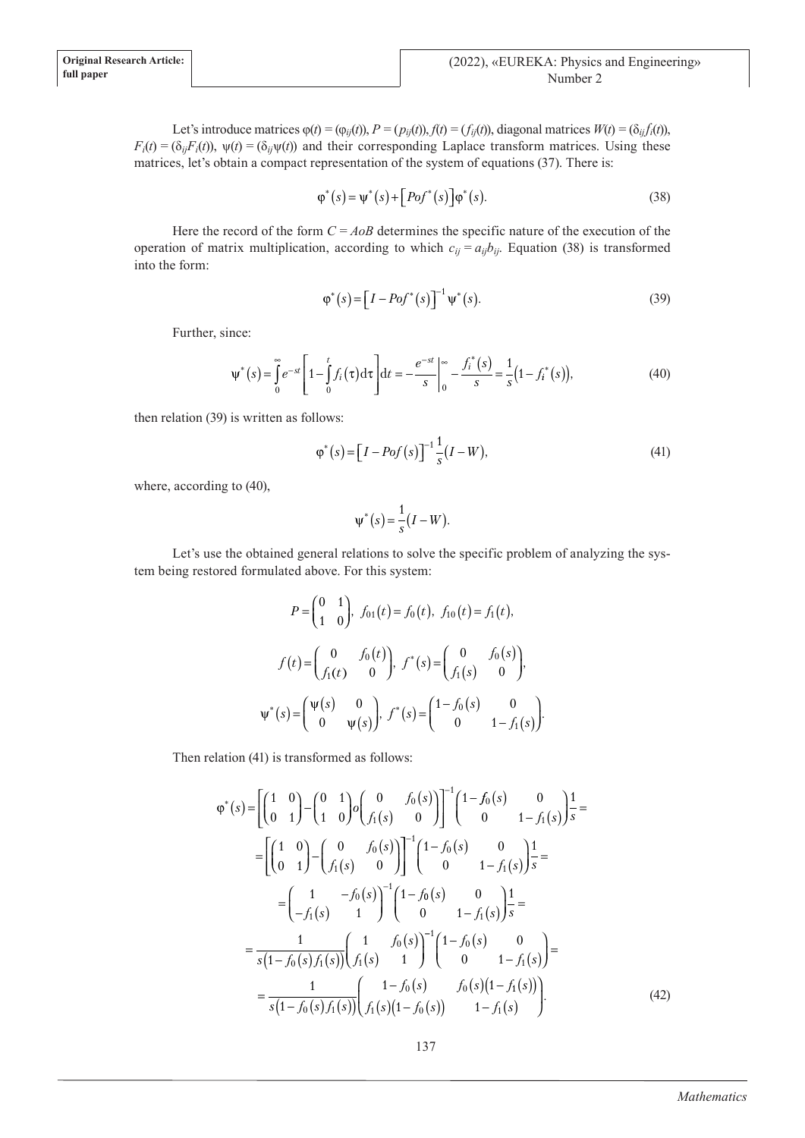Let's introduce matrices  $\varphi(t) = (\varphi_{ij}(t)), P = (p_{ij}(t)), f(t) = (f_{ij}(t)),$  diagonal matrices  $W(t) = (\delta_{ij}f_i(t)),$  $F_i(t) = (\delta_{ij}F_i(t))$ ,  $\psi(t) = (\delta_{ij}\psi(t))$  and their corresponding Laplace transform matrices. Using these matrices, let's obtain a compact representation of the system of equations (37). There is:

$$
\varphi^*(s) = \psi^*(s) + [Pof^*(s)]\varphi^*(s).
$$
 (38)

Here the record of the form  $C = A \circ B$  determines the specific nature of the execution of the operation of matrix multiplication, according to which  $c_{ii} = a_{ii}b_{ii}$ . Equation (38) is transformed into the form:

$$
\varphi^*(s) = \left[I - Pof^*(s)\right]^{-1} \psi^*(s).
$$
\n(39)

Further, since:

$$
\Psi^*(s) = \int_0^\infty e^{-st} \left[ 1 - \int_0^t f_i(\tau) d\tau \right] dt = -\frac{e^{-st}}{s} \bigg|_0^\infty - \frac{f_i^*(s)}{s} = \frac{1}{s} (1 - f_i^*(s)), \tag{40}
$$

then relation (39) is written as follows:

$$
\varphi^*(s) = [I - Pof(s)]^{-1} \frac{1}{s} (I - W), \tag{41}
$$

where, according to (40),

$$
\psi^*(s) = \frac{1}{s}(I - W).
$$

Let's use the obtained general relations to solve the specific problem of analyzing the system being restored formulated above. For this system:

$$
P = \begin{pmatrix} 0 & 1 \\ 1 & 0 \end{pmatrix}, f_{01}(t) = f_0(t), f_{10}(t) = f_1(t),
$$
  

$$
f(t) = \begin{pmatrix} 0 & f_0(t) \\ f_1(t) & 0 \end{pmatrix}, f^*(s) = \begin{pmatrix} 0 & f_0(s) \\ f_1(s) & 0 \end{pmatrix},
$$
  

$$
\Psi^*(s) = \begin{pmatrix} \Psi(s) & 0 \\ 0 & \Psi(s) \end{pmatrix}, f^*(s) = \begin{pmatrix} 1 - f_0(s) & 0 \\ 0 & 1 - f_1(s) \end{pmatrix}.
$$

Then relation (41) is transformed as follows:

$$
\varphi^*(s) = \left[ \begin{pmatrix} 1 & 0 \\ 0 & 1 \end{pmatrix} - \begin{pmatrix} 0 & 1 \\ 1 & 0 \end{pmatrix} \rho \begin{pmatrix} 0 & f_0(s) \\ f_1(s) & 0 \end{pmatrix} \right]^{-1} \begin{pmatrix} 1 - f_0(s) & 0 \\ 0 & 1 - f_1(s) \end{pmatrix} \frac{1}{s} =
$$
  
\n
$$
= \left[ \begin{pmatrix} 1 & 0 \\ 0 & 1 \end{pmatrix} - \begin{pmatrix} 0 & f_0(s) \\ f_1(s) & 0 \end{pmatrix} \right]^{-1} \begin{pmatrix} 1 - f_0(s) & 0 \\ 0 & 1 - f_1(s) \end{pmatrix} \frac{1}{s} =
$$
  
\n
$$
= \begin{pmatrix} 1 & -f_0(s) \\ -f_1(s) & 1 \end{pmatrix}^{-1} \begin{pmatrix} 1 - f_0(s) & 0 \\ 0 & 1 - f_1(s) \end{pmatrix} \frac{1}{s} =
$$
  
\n
$$
= \frac{1}{s(1 - f_0(s)f_1(s))} \begin{pmatrix} 1 & f_0(s) \\ f_1(s) & 1 \end{pmatrix}^{-1} \begin{pmatrix} 1 - f_0(s) & 0 \\ 0 & 1 - f_1(s) \end{pmatrix} =
$$
  
\n
$$
= \frac{1}{s(1 - f_0(s)f_1(s))} \begin{pmatrix} 1 - f_0(s) & f_0(s)(1 - f_1(s)) \\ f_1(s)(1 - f_0(s)) & 1 - f_1(s) \end{pmatrix}.
$$
 (42)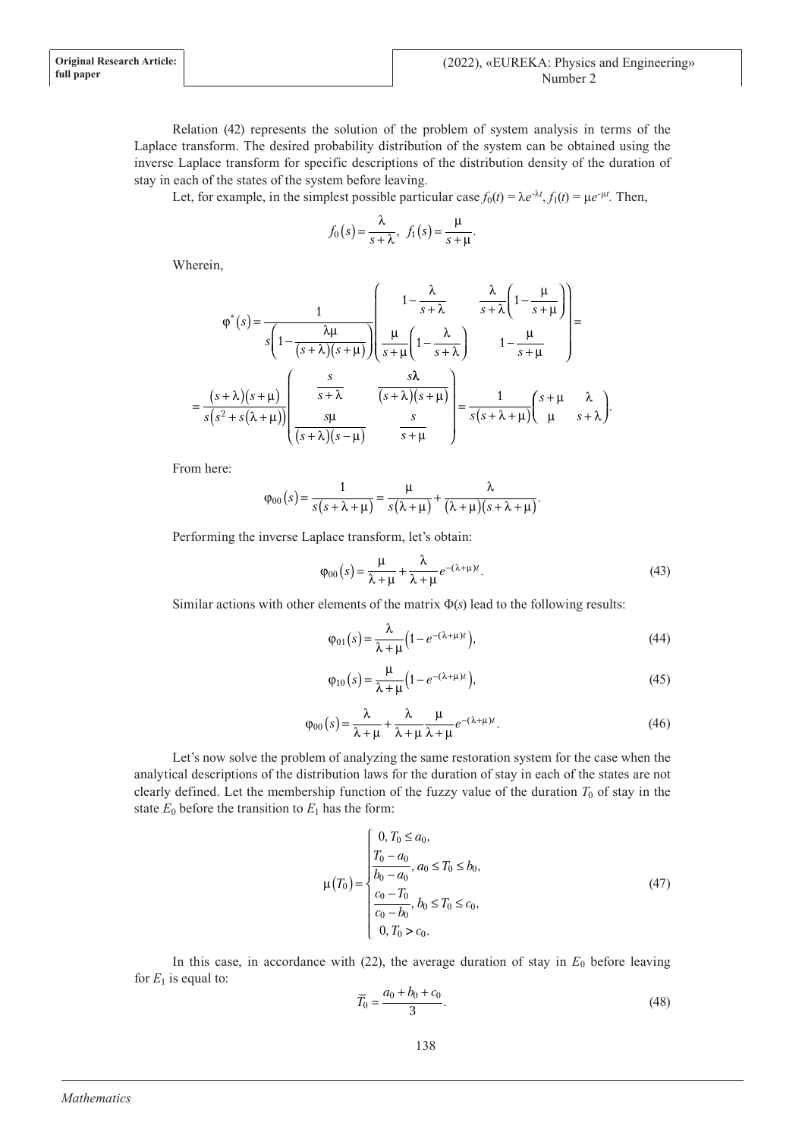Relation (42) represents the solution of the problem of system analysis in terms of the Laplace transform. The desired probability distribution of the system can be obtained using the inverse Laplace transform for specific descriptions of the distribution density of the duration of stay in each of the states of the system before leaving.

Let, for example, in the simplest possible particular case  $f_0(t) = \lambda e^{-\lambda t}$ ,  $f_1(t) = \mu e^{-\mu t}$ . Then,

$$
f_0(s) = \frac{\lambda}{s + \lambda}, \ \ f_1(s) = \frac{\mu}{s + \mu}.
$$

Wherein,

$$
\varphi^*(s) = \frac{1}{s\left(1 - \frac{\lambda\mu}{(s+\lambda)(s+\mu)}\right)} \left(\frac{1 - \frac{\lambda}{s+\lambda}}{s+\lambda}\frac{\lambda}{s+\lambda}\left(1 - \frac{\mu}{s+\mu}\right)\right) = \frac{1}{s\left(s+\lambda\right)(s+\mu)} \left(\frac{\mu}{s+\lambda}\left(1 - \frac{\lambda}{s+\lambda}\right)\right) \left(1 - \frac{\mu}{s+\mu}\right) = \frac{1}{s\left(s+\lambda\right)(s+\mu)} \left(\frac{s}{s+\lambda}\frac{s\lambda}{(s+\lambda)(s+\mu)}\right) = \frac{1}{s\left(s+\lambda+\mu\right)} \left(\frac{s+\mu}{\mu}\frac{\lambda}{s+\lambda}\right).
$$

From here:

$$
\varphi_{00}(s) = \frac{1}{s(s+\lambda+\mu)} = \frac{\mu}{s(\lambda+\mu)} + \frac{\lambda}{(\lambda+\mu)(s+\lambda+\mu)}.
$$

Performing the inverse Laplace transform, let's obtain:

$$
\varphi_{00}(s) = \frac{\mu}{\lambda + \mu} + \frac{\lambda}{\lambda + \mu} e^{-(\lambda + \mu)t}.
$$
\n(43)

Similar actions with other elements of the matrix Φ(*s*) lead to the following results:

$$
\varphi_{01}(s) = \frac{\lambda}{\lambda + \mu} \left( 1 - e^{-(\lambda + \mu)t} \right),\tag{44}
$$

$$
\varphi_{10}(s) = \frac{\mu}{\lambda + \mu} \left( 1 - e^{-(\lambda + \mu)t} \right),\tag{45}
$$

$$
\varphi_{00}(s) = \frac{\lambda}{\lambda + \mu} + \frac{\lambda}{\lambda + \mu} \frac{\mu}{\lambda + \mu} e^{-(\lambda + \mu)t}.
$$
\n(46)

Let's now solve the problem of analyzing the same restoration system for the case when the analytical descriptions of the distribution laws for the duration of stay in each of the states are not clearly defined. Let the membership function of the fuzzy value of the duration  $T_0$  of stay in the state  $E_0$  before the transition to  $E_1$  has the form:

$$
\mu(T_0) = \begin{cases}\n0, T_0 \le a_0, \\
\frac{T_0 - a_0}{b_0 - a_0}, a_0 \le T_0 \le b_0, \\
\frac{c_0 - T_0}{c_0 - b_0}, b_0 \le T_0 \le c_0, \\
0, T_0 > c_0.\n\end{cases}
$$
\n(47)

In this case, in accordance with  $(22)$ , the average duration of stay in  $E_0$  before leaving for  $E_1$  is equal to:

$$
\overline{T}_0 = \frac{a_0 + b_0 + c_0}{3}.
$$
\n(48)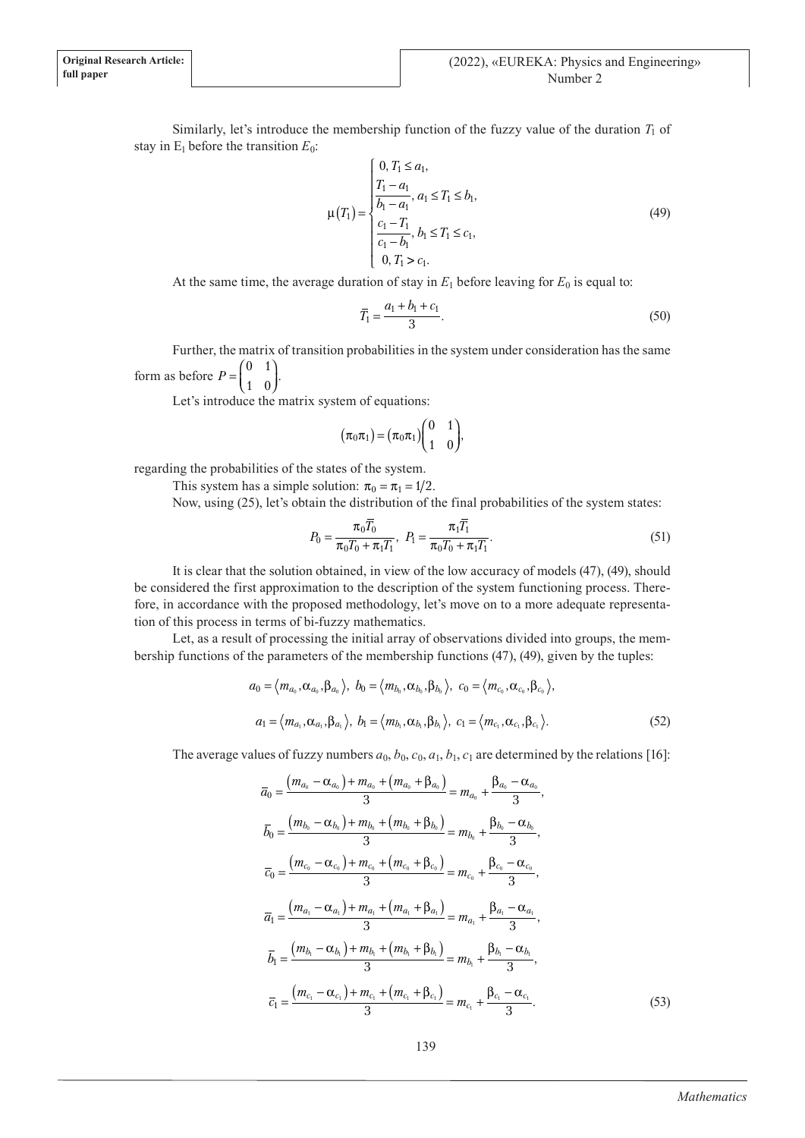Similarly, let's introduce the membership function of the fuzzy value of the duration  $T_1$  of stay in  $E_1$  before the transition  $E_0$ :

$$
\mu(T_1) = \begin{cases}\n0, T_1 \le a_1, \\
\frac{T_1 - a_1}{b_1 - a_1}, a_1 \le T_1 \le b_1, \\
\frac{c_1 - T_1}{c_1 - b_1}, b_1 \le T_1 \le c_1, \\
0, T_1 > c_1.\n\end{cases}
$$
\n(49)

At the same time, the average duration of stay in  $E_1$  before leaving for  $E_0$  is equal to:

$$
\overline{T}_1 = \frac{a_1 + b_1 + c_1}{3}.
$$
\n(50)

Further, the matrix of transition probabilities in the system under consideration has the same form as before  $P = \left($ ľ  $\overline{a}$  $\begin{pmatrix} 0 & 1 \\ 1 & 0 \end{pmatrix}$ .

Let's introduce the matrix system of equations:

$$
\big(\pi_0\pi_1\big)\!=\!\big(\pi_0\pi_1\big)\!\!\begin{pmatrix}0&1\\1&0\end{pmatrix}\!\!,
$$

regarding the probabilities of the states of the system.

This system has a simple solution:  $\pi_0 = \pi_1 = 1/2$ .

Now, using (25), let's obtain the distribution of the final probabilities of the system states:

$$
P_0 = \frac{\pi_0 \overline{T_0}}{\pi_0 T_0 + \pi_1 T_1}, \ \ P_1 = \frac{\pi_1 \overline{T_1}}{\pi_0 T_0 + \pi_1 T_1}.
$$
\n(51)

It is clear that the solution obtained, in view of the low accuracy of models (47), (49), should be considered the first approximation to the description of the system functioning process. Therefore, in accordance with the proposed methodology, let's move on to a more adequate representation of this process in terms of bi-fuzzy mathematics.

Let, as a result of processing the initial array of observations divided into groups, the membership functions of the parameters of the membership functions (47), (49), given by the tuples:

$$
a_0 = \langle m_{a_0}, \alpha_{a_0}, \beta_{a_0} \rangle, b_0 = \langle m_{b_0}, \alpha_{b_0}, \beta_{b_0} \rangle, c_0 = \langle m_{c_0}, \alpha_{c_0}, \beta_{c_0} \rangle,
$$
  

$$
a_1 = \langle m_{a_1}, \alpha_{a_1}, \beta_{a_1} \rangle, b_1 = \langle m_{b_1}, \alpha_{b_1}, \beta_{b_1} \rangle, c_1 = \langle m_{c_1}, \alpha_{c_1}, \beta_{c_1} \rangle.
$$
 (52)

The average values of fuzzy numbers  $a_0$ ,  $b_0$ ,  $c_0$ ,  $a_1$ ,  $b_1$ ,  $c_1$  are determined by the relations [16]:

$$
\overline{a}_{0} = \frac{(m_{a_{0}} - \alpha_{a_{0}}) + m_{a_{0}} + (m_{a_{0}} + \beta_{a_{0}})}{3} = m_{a_{0}} + \frac{\beta_{a_{0}} - \alpha_{a_{0}}}{3},
$$
\n
$$
\overline{b}_{0} = \frac{(m_{b_{0}} - \alpha_{b_{0}}) + m_{b_{0}} + (m_{b_{0}} + \beta_{b_{0}})}{3} = m_{b_{0}} + \frac{\beta_{b_{0}} - \alpha_{b_{0}}}{3},
$$
\n
$$
\overline{c}_{0} = \frac{(m_{c_{0}} - \alpha_{c_{0}}) + m_{c_{0}} + (m_{c_{0}} + \beta_{c_{0}})}{3} = m_{c_{0}} + \frac{\beta_{c_{0}} - \alpha_{c_{0}}}{3},
$$
\n
$$
\overline{a}_{1} = \frac{(m_{a_{1}} - \alpha_{a_{1}}) + m_{a_{1}} + (m_{a_{1}} + \beta_{a_{1}})}{3} = m_{a_{1}} + \frac{\beta_{a_{1}} - \alpha_{a_{1}}}{3},
$$
\n
$$
\overline{b}_{1} = \frac{(m_{b_{1}} - \alpha_{b_{1}}) + m_{b_{1}} + (m_{b_{1}} + \beta_{b_{1}})}{3} = m_{b_{1}} + \frac{\beta_{b_{1}} - \alpha_{b_{1}}}{3},
$$
\n
$$
\overline{c}_{1} = \frac{(m_{c_{1}} - \alpha_{c_{1}}) + m_{c_{1}} + (m_{c_{1}} + \beta_{c_{1}})}{3} = m_{c_{1}} + \frac{\beta_{c_{1}} - \alpha_{c_{1}}}{3}.
$$
\n(53)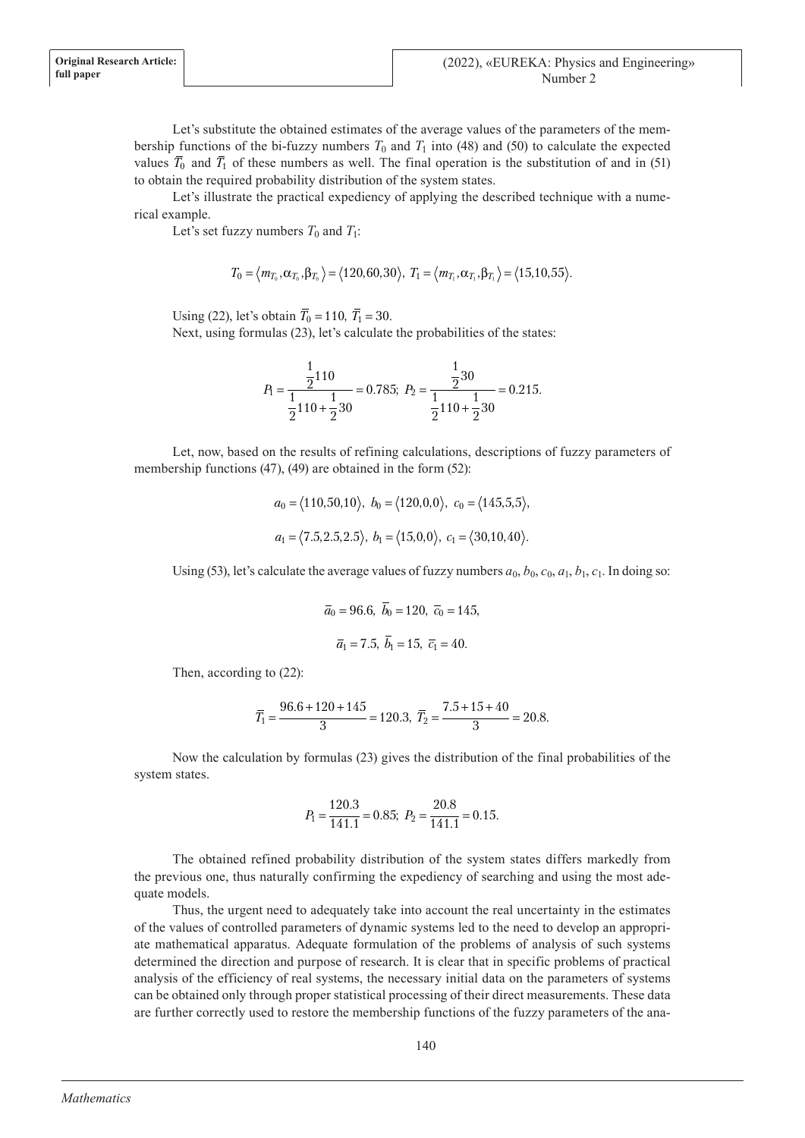Let's substitute the obtained estimates of the average values of the parameters of the membership functions of the bi-fuzzy numbers  $T_0$  and  $T_1$  into (48) and (50) to calculate the expected values  $\overline{T}_0$  and  $\overline{T}_1$  of these numbers as well. The final operation is the substitution of and in (51) to obtain the required probability distribution of the system states.

Let's illustrate the practical expediency of applying the described technique with a numerical example.

Let's set fuzzy numbers  $T_0$  and  $T_1$ :

$$
T_0 = \langle m_{T_0}, \alpha_{T_0}, \beta_{T_0} \rangle = \langle 120, 60, 30 \rangle, \ T_1 = \langle m_{T_1}, \alpha_{T_1}, \beta_{T_1} \rangle = \langle 15, 10, 55 \rangle.
$$

Using (22), let's obtain  $\bar{T}_0 = 110$ ,  $\bar{T}_1 = 30$ .

Next, using formulas (23), let's calculate the probabilities of the states:

$$
P_1 = \frac{\frac{1}{2}110}{\frac{1}{2}110 + \frac{1}{2}30} = 0.785; \ P_2 = \frac{\frac{1}{2}30}{\frac{1}{2}110 + \frac{1}{2}30} = 0.215.
$$

Let, now, based on the results of refining calculations, descriptions of fuzzy parameters of membership functions (47), (49) are obtained in the form (52):

$$
a_0 = \langle 110, 50, 10 \rangle
$$
,  $b_0 = \langle 120, 0, 0 \rangle$ ,  $c_0 = \langle 145, 5, 5 \rangle$ ,  
 $a_1 = \langle 7.5, 2.5, 2.5 \rangle$ ,  $b_1 = \langle 15, 0, 0 \rangle$ ,  $c_1 = \langle 30, 10, 40 \rangle$ .

Using (53), let's calculate the average values of fuzzy numbers  $a_0$ ,  $b_0$ ,  $c_0$ ,  $a_1$ ,  $b_1$ ,  $c_1$ . In doing so:

$$
\overline{a}_0 = 96.6, \ \overline{b}_0 = 120, \ \overline{c}_0 = 145,
$$
  
 $\overline{a}_1 = 7.5, \ \overline{b}_1 = 15, \ \overline{c}_1 = 40.$ 

Then, according to (22):

$$
\overline{T}_1 = \frac{96.6 + 120 + 145}{3} = 120.3, \ \overline{T}_2 = \frac{7.5 + 15 + 40}{3} = 20.8.
$$

Now the calculation by formulas (23) gives the distribution of the final probabilities of the system states.

$$
P_1 = \frac{120.3}{141.1} = 0.85; \ P_2 = \frac{20.8}{141.1} = 0.15.
$$

The obtained refined probability distribution of the system states differs markedly from the previous one, thus naturally confirming the expediency of searching and using the most adequate models.

Thus, the urgent need to adequately take into account the real uncertainty in the estimates of the values of controlled parameters of dynamic systems led to the need to develop an appropriate mathematical apparatus. Adequate formulation of the problems of analysis of such systems determined the direction and purpose of research. It is clear that in specific problems of practical analysis of the efficiency of real systems, the necessary initial data on the parameters of systems can be obtained only through proper statistical processing of their direct measurements. These data are further correctly used to restore the membership functions of the fuzzy parameters of the ana-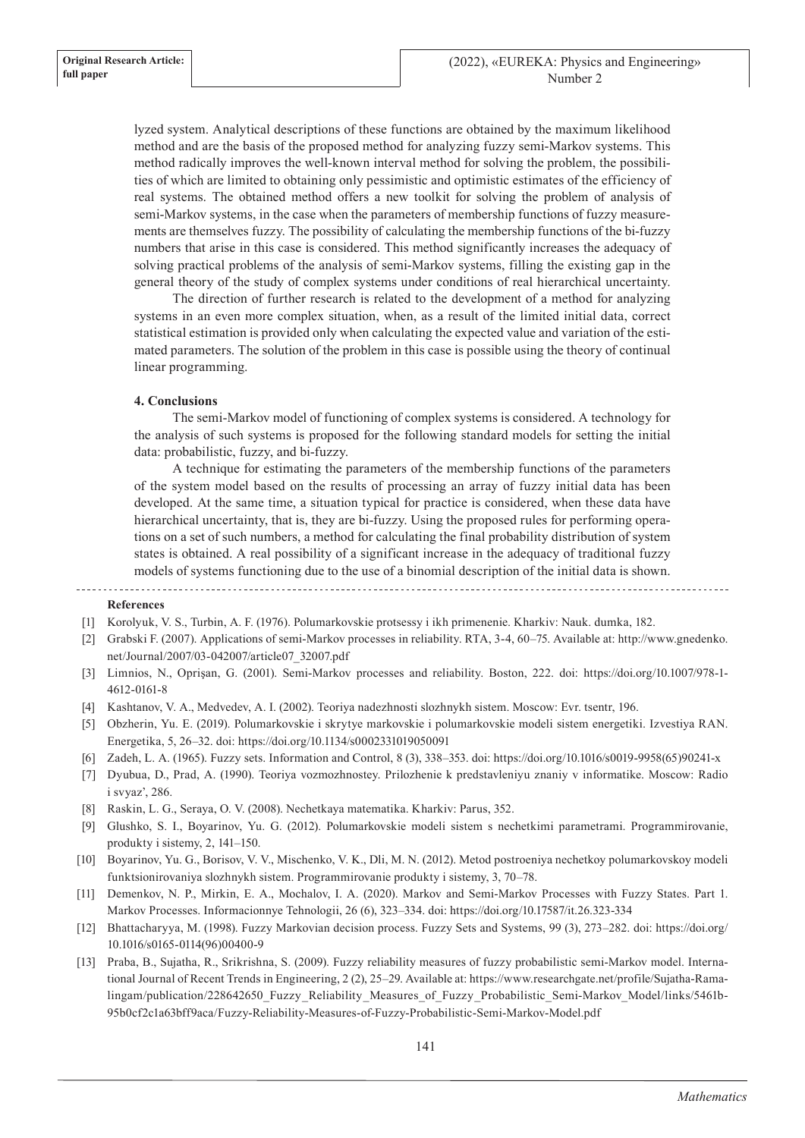lyzed system. Analytical descriptions of these functions are obtained by the maximum likelihood method and are the basis of the proposed method for analyzing fuzzy semi-Markov systems. This method radically improves the well-known interval method for solving the problem, the possibilities of which are limited to obtaining only pessimistic and optimistic estimates of the efficiency of real systems. The obtained method offers a new toolkit for solving the problem of analysis of semi-Markov systems, in the case when the parameters of membership functions of fuzzy measurements are themselves fuzzy. The possibility of calculating the membership functions of the bi-fuzzy numbers that arise in this case is considered. This method significantly increases the adequacy of solving practical problems of the analysis of semi-Markov systems, filling the existing gap in the general theory of the study of complex systems under conditions of real hierarchical uncertainty.

The direction of further research is related to the development of a method for analyzing systems in an even more complex situation, when, as a result of the limited initial data, correct statistical estimation is provided only when calculating the expected value and variation of the estimated parameters. The solution of the problem in this case is possible using the theory of continual linear programming.

## **4. Conclusions**

The semi-Markov model of functioning of complex systems is considered. A technology for the analysis of such systems is proposed for the following standard models for setting the initial data: probabilistic, fuzzy, and bi-fuzzy.

A technique for estimating the parameters of the membership functions of the parameters of the system model based on the results of processing an array of fuzzy initial data has been developed. At the same time, a situation typical for practice is considered, when these data have hierarchical uncertainty, that is, they are bi-fuzzy. Using the proposed rules for performing operations on a set of such numbers, a method for calculating the final probability distribution of system states is obtained. A real possibility of a significant increase in the adequacy of traditional fuzzy models of systems functioning due to the use of a binomial description of the initial data is shown.

#### 

#### **References**

- [1] Korolyuk, V. S., Turbin, A. F. (1976). Polumarkovskie protsessy i ikh primenenie. Kharkiv: Nauk. dumka, 182.
- [2] Grabski F. (2007). Applications of semi-Markov processes in reliability. RTA, 3-4, 60–75. Available at: http://www.gnedenko. net/Journal/2007/03-042007/article07\_32007.pdf
- [3] Limnios, N., Oprişan, G. (2001). Semi-Markov processes and reliability. Boston, 222. doi: https://doi.org/10.1007/978-1- 4612-0161-8
- [4] Kashtanov, V. A., Medvedev, A. I. (2002). Teoriya nadezhnosti slozhnykh sistem. Moscow: Evr. tsentr, 196.
- [5] Obzherin, Yu. E. (2019). Polumarkovskie i skrytye markovskie i polumarkovskie modeli sistem energetiki. Izvestiya RAN. Energetika, 5, 26–32. doi: https://doi.org/10.1134/s0002331019050091
- [6] Zadeh, L. A. (1965). Fuzzy sets. Information and Control, 8 (3), 338–353. doi: https://doi.org/10.1016/s0019-9958(65)90241-x
- [7] Dyubua, D., Prad, A. (1990). Teoriya vozmozhnostey. Prilozhenie k predstavleniyu znaniy v informatike. Moscow: Radio i svyaz', 286.
- [8] Raskin, L. G., Seraya, O. V. (2008). Nechetkaya matematika. Kharkiv: Parus, 352.
- [9] Glushko, S. I., Boyarinov, Yu. G. (2012). Polumarkovskie modeli sistem s nechetkimi parametrami. Programmirovanie, produkty i sistemy, 2, 141–150.
- [10] Boyarinov, Yu. G., Borisov, V. V., Mischenko, V. K., Dli, M. N. (2012). Metod postroeniya nechetkoy polumarkovskoy modeli funktsionirovaniya slozhnykh sistem. Programmirovanie produkty i sistemy, 3, 70–78.
- [11] Demenkov, N. P., Mirkin, E. A., Mochalov, I. A. (2020). Markov and Semi-Markov Processes with Fuzzy States. Part 1. Markov Processes. Informacionnye Tehnologii, 26 (6), 323–334. doi: https://doi.org/10.17587/it.26.323-334
- [12] Bhattacharyya, M. (1998). Fuzzy Markovian decision process. Fuzzy Sets and Systems, 99 (3), 273–282. doi: https://doi.org/ 10.1016/s0165-0114(96)00400-9
- [13] Praba, B., Sujatha, R., Srikrishna, S. (2009). Fuzzy reliability measures of fuzzy probabilistic semi-Markov model. International Journal of Recent Trends in Engineering, 2 (2), 25–29. Available at: https://www.researchgate.net/profile/Sujatha-Ramalingam/publication/228642650\_Fuzzy\_Reliability\_Measures\_of\_Fuzzy\_Probabilistic\_Semi-Markov\_Model/links/5461b-95b0cf2c1a63bff9aca/Fuzzy-Reliability-Measures-of-Fuzzy-Probabilistic-Semi-Markov-Model.pdf